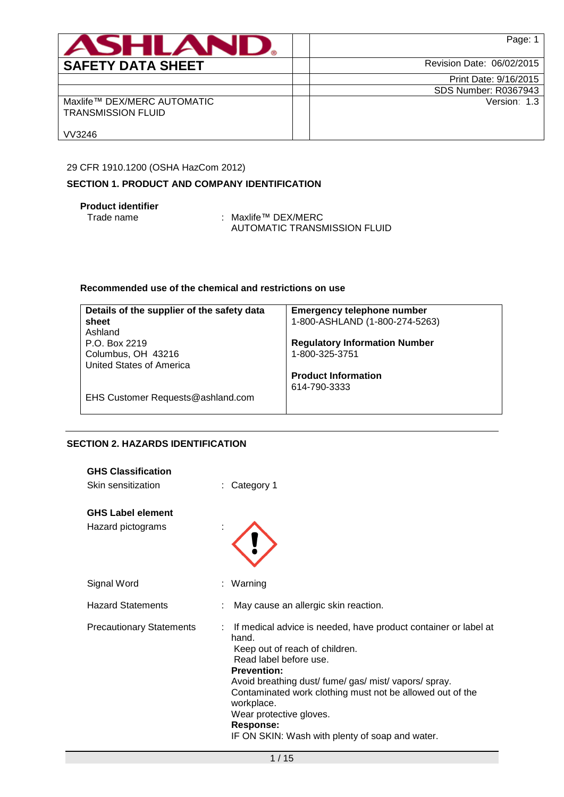| ASHLAN                                                   | Page: 1                     |
|----------------------------------------------------------|-----------------------------|
| <b>SAFETY DATA SHEET</b>                                 | Revision Date: 06/02/2015   |
|                                                          | Print Date: 9/16/2015       |
|                                                          | <b>SDS Number: R0367943</b> |
| Maxlife™ DEX/MERC AUTOMATIC<br><b>TRANSMISSION FLUID</b> | Version: 1.3                |
| VV3246                                                   |                             |

## 29 CFR 1910.1200 (OSHA HazCom 2012)

## **SECTION 1. PRODUCT AND COMPANY IDENTIFICATION**

# **Product identifier**

Trade name : Maxlife™ DEX/MERC AUTOMATIC TRANSMISSION FLUID

## **Recommended use of the chemical and restrictions on use**

| Details of the supplier of the safety data | <b>Emergency telephone number</b>    |
|--------------------------------------------|--------------------------------------|
| sheet                                      | 1-800-ASHLAND (1-800-274-5263)       |
| Ashland                                    |                                      |
| P.O. Box 2219                              | <b>Regulatory Information Number</b> |
| Columbus, OH 43216                         | 1-800-325-3751                       |
| United States of America                   |                                      |
|                                            | <b>Product Information</b>           |
|                                            | 614-790-3333                         |
| EHS Customer Requests@ashland.com          |                                      |

# **SECTION 2. HAZARDS IDENTIFICATION**

| <b>GHS Classification</b><br>Skin sensitization | Category 1                                                                                                                                                                                                                                                                                                                                                                                  |
|-------------------------------------------------|---------------------------------------------------------------------------------------------------------------------------------------------------------------------------------------------------------------------------------------------------------------------------------------------------------------------------------------------------------------------------------------------|
| <b>GHS Label element</b><br>Hazard pictograms   |                                                                                                                                                                                                                                                                                                                                                                                             |
| Signal Word                                     | : Warning                                                                                                                                                                                                                                                                                                                                                                                   |
| <b>Hazard Statements</b>                        | May cause an allergic skin reaction.                                                                                                                                                                                                                                                                                                                                                        |
| <b>Precautionary Statements</b>                 | : If medical advice is needed, have product container or label at<br>hand.<br>Keep out of reach of children.<br>Read label before use.<br><b>Prevention:</b><br>Avoid breathing dust/ fume/ gas/ mist/ vapors/ spray.<br>Contaminated work clothing must not be allowed out of the<br>workplace.<br>Wear protective gloves.<br>Response:<br>IF ON SKIN: Wash with plenty of soap and water. |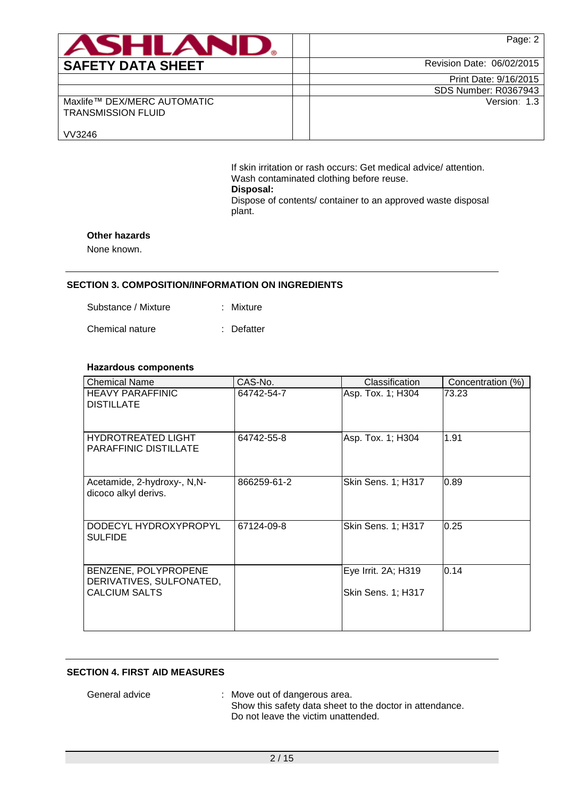| <b>ASHLAN</b>                                            | Page: 2                     |
|----------------------------------------------------------|-----------------------------|
| <b>SAFETY DATA SHEET</b>                                 | Revision Date: 06/02/2015   |
|                                                          | Print Date: 9/16/2015       |
|                                                          | <b>SDS Number: R0367943</b> |
| Maxlife™ DEX/MERC AUTOMATIC<br><b>TRANSMISSION FLUID</b> | Version: 1.3                |
| VV3246                                                   |                             |

If skin irritation or rash occurs: Get medical advice/ attention. Wash contaminated clothing before reuse. **Disposal:**  Dispose of contents/ container to an approved waste disposal plant.

### **Other hazards**

None known.

#### **SECTION 3. COMPOSITION/INFORMATION ON INGREDIENTS**

| Mixture |
|---------|
|         |

Chemical nature : Defatter

### **Hazardous components**

| <b>Chemical Name</b>                                                     | CAS-No.     | Classification                            | Concentration (%) |
|--------------------------------------------------------------------------|-------------|-------------------------------------------|-------------------|
| <b>HEAVY PARAFFINIC</b><br><b>DISTILLATE</b>                             | 64742-54-7  | Asp. Tox. 1; H304                         | 73.23             |
| <b>HYDROTREATED LIGHT</b><br><b>PARAFFINIC DISTILLATE</b>                | 64742-55-8  | Asp. Tox. 1; H304                         | 1.91              |
| Acetamide, 2-hydroxy-, N,N-<br>dicoco alkyl derivs.                      | 866259-61-2 | Skin Sens. 1; H317                        | 0.89              |
| DODECYL HYDROXYPROPYL<br><b>SULFIDE</b>                                  | 67124-09-8  | Skin Sens. 1; H317                        | 0.25              |
| BENZENE, POLYPROPENE<br>DERIVATIVES, SULFONATED,<br><b>CALCIUM SALTS</b> |             | Eye Irrit. 2A; H319<br>Skin Sens. 1; H317 | 0.14              |
|                                                                          |             |                                           |                   |

#### **SECTION 4. FIRST AID MEASURES**

General advice : Move out of dangerous area. Show this safety data sheet to the doctor in attendance. Do not leave the victim unattended.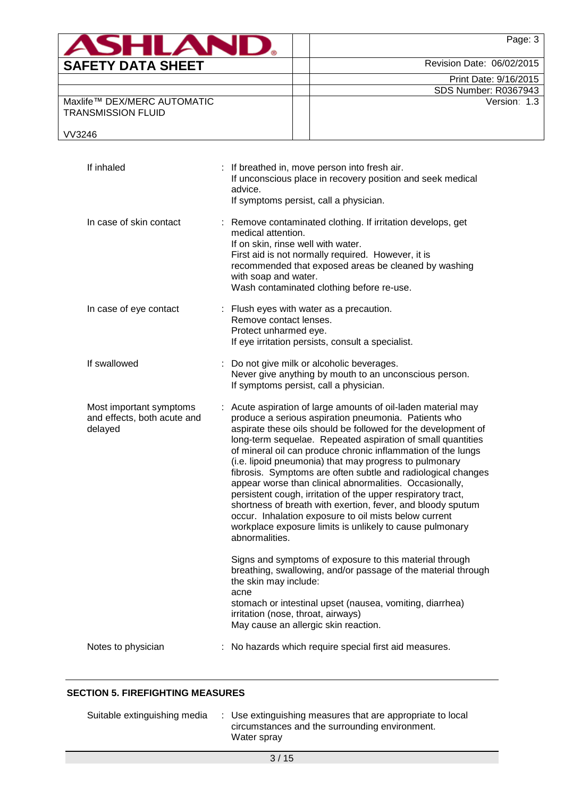| <b>ASHLAN</b>                                            | Page: 3                     |
|----------------------------------------------------------|-----------------------------|
| <b>SAFETY DATA SHEET</b>                                 | Revision Date: 06/02/2015   |
|                                                          | Print Date: 9/16/2015       |
|                                                          | <b>SDS Number: R0367943</b> |
| Maxlife™ DEX/MERC AUTOMATIC<br><b>TRANSMISSION FLUID</b> | Version: 1.3                |

VV3246

| If inhaled                                                        | : If breathed in, move person into fresh air.<br>If unconscious place in recovery position and seek medical<br>advice.<br>If symptoms persist, call a physician.                                                                                                                                                                                                                                                                                                                                                                                                                                                                                                                                                                                                               |
|-------------------------------------------------------------------|--------------------------------------------------------------------------------------------------------------------------------------------------------------------------------------------------------------------------------------------------------------------------------------------------------------------------------------------------------------------------------------------------------------------------------------------------------------------------------------------------------------------------------------------------------------------------------------------------------------------------------------------------------------------------------------------------------------------------------------------------------------------------------|
| In case of skin contact                                           | : Remove contaminated clothing. If irritation develops, get<br>medical attention.<br>If on skin, rinse well with water.<br>First aid is not normally required. However, it is<br>recommended that exposed areas be cleaned by washing<br>with soap and water.<br>Wash contaminated clothing before re-use.                                                                                                                                                                                                                                                                                                                                                                                                                                                                     |
| In case of eye contact                                            | : Flush eyes with water as a precaution.<br>Remove contact lenses.<br>Protect unharmed eye.<br>If eye irritation persists, consult a specialist.                                                                                                                                                                                                                                                                                                                                                                                                                                                                                                                                                                                                                               |
| If swallowed                                                      | : Do not give milk or alcoholic beverages.<br>Never give anything by mouth to an unconscious person.<br>If symptoms persist, call a physician.                                                                                                                                                                                                                                                                                                                                                                                                                                                                                                                                                                                                                                 |
| Most important symptoms<br>and effects, both acute and<br>delayed | Acute aspiration of large amounts of oil-laden material may<br>produce a serious aspiration pneumonia. Patients who<br>aspirate these oils should be followed for the development of<br>long-term sequelae. Repeated aspiration of small quantities<br>of mineral oil can produce chronic inflammation of the lungs<br>(i.e. lipoid pneumonia) that may progress to pulmonary<br>fibrosis. Symptoms are often subtle and radiological changes<br>appear worse than clinical abnormalities. Occasionally,<br>persistent cough, irritation of the upper respiratory tract,<br>shortness of breath with exertion, fever, and bloody sputum<br>occur. Inhalation exposure to oil mists below current<br>workplace exposure limits is unlikely to cause pulmonary<br>abnormalities. |
|                                                                   | Signs and symptoms of exposure to this material through<br>breathing, swallowing, and/or passage of the material through<br>the skin may include:<br>acne<br>stomach or intestinal upset (nausea, vomiting, diarrhea)<br>irritation (nose, throat, airways)<br>May cause an allergic skin reaction.                                                                                                                                                                                                                                                                                                                                                                                                                                                                            |
| Notes to physician                                                | : No hazards which require special first aid measures.                                                                                                                                                                                                                                                                                                                                                                                                                                                                                                                                                                                                                                                                                                                         |

# **SECTION 5. FIREFIGHTING MEASURES**

| Suitable extinguishing media | : Use extinguishing measures that are appropriate to local |
|------------------------------|------------------------------------------------------------|
|                              | circumstances and the surrounding environment.             |
|                              | Water spray                                                |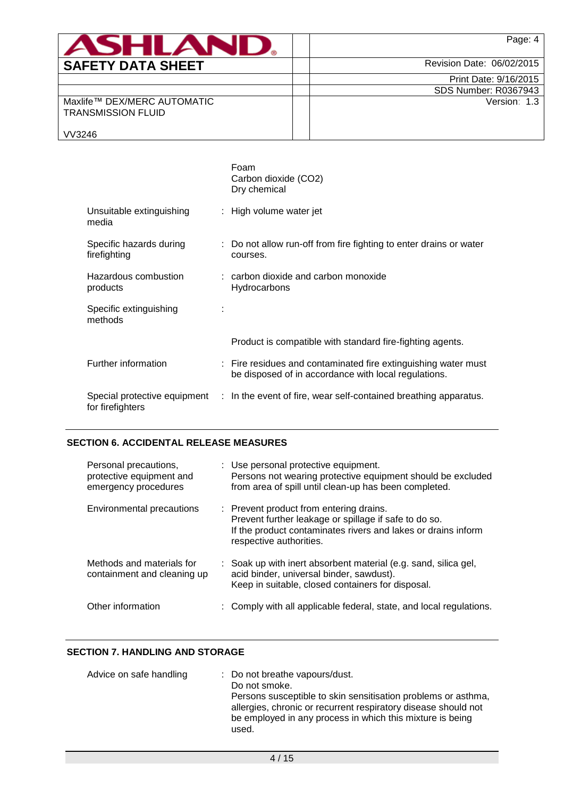| <b>SAFETY DATA SHEE</b> |  |
|-------------------------|--|

Page: 4

Version: 1.3

Revision Date: 06/02/2015

Print Date: 9/16/2015 SDS Number: R0367943

Maxlife™ DEX/MERC AUTOMATIC TRANSMISSION FLUID

VV3246

|                                         | Foam<br>Carbon dioxide (CO2)<br>Dry chemical                                                                           |
|-----------------------------------------|------------------------------------------------------------------------------------------------------------------------|
| Unsuitable extinguishing<br>media       | : High volume water jet                                                                                                |
| Specific hazards during<br>firefighting | : Do not allow run-off from fire fighting to enter drains or water<br>courses.                                         |
| Hazardous combustion<br>products        | $:$ carbon dioxide and carbon monoxide<br>Hydrocarbons                                                                 |
| Specific extinguishing<br>methods       |                                                                                                                        |
|                                         | Product is compatible with standard fire-fighting agents.                                                              |
| Further information                     | : Fire residues and contaminated fire extinguishing water must<br>be disposed of in accordance with local regulations. |
| for firefighters                        | Special protective equipment : In the event of fire, wear self-contained breathing apparatus.                          |

# **SECTION 6. ACCIDENTAL RELEASE MEASURES**

| Personal precautions,<br>protective equipment and<br>emergency procedures | : Use personal protective equipment.<br>Persons not wearing protective equipment should be excluded<br>from area of spill until clean-up has been completed.                                 |
|---------------------------------------------------------------------------|----------------------------------------------------------------------------------------------------------------------------------------------------------------------------------------------|
| Environmental precautions                                                 | : Prevent product from entering drains.<br>Prevent further leakage or spillage if safe to do so.<br>If the product contaminates rivers and lakes or drains inform<br>respective authorities. |
| Methods and materials for<br>containment and cleaning up                  | : Soak up with inert absorbent material (e.g. sand, silica gel,<br>acid binder, universal binder, sawdust).<br>Keep in suitable, closed containers for disposal.                             |
| Other information                                                         | : Comply with all applicable federal, state, and local regulations.                                                                                                                          |

# **SECTION 7. HANDLING AND STORAGE**

| Advice on safe handling | : Do not breathe vapours/dust.<br>Do not smoke.<br>Persons susceptible to skin sensitisation problems or asthma,<br>allergies, chronic or recurrent respiratory disease should not<br>be employed in any process in which this mixture is being<br>used. |
|-------------------------|----------------------------------------------------------------------------------------------------------------------------------------------------------------------------------------------------------------------------------------------------------|
|-------------------------|----------------------------------------------------------------------------------------------------------------------------------------------------------------------------------------------------------------------------------------------------------|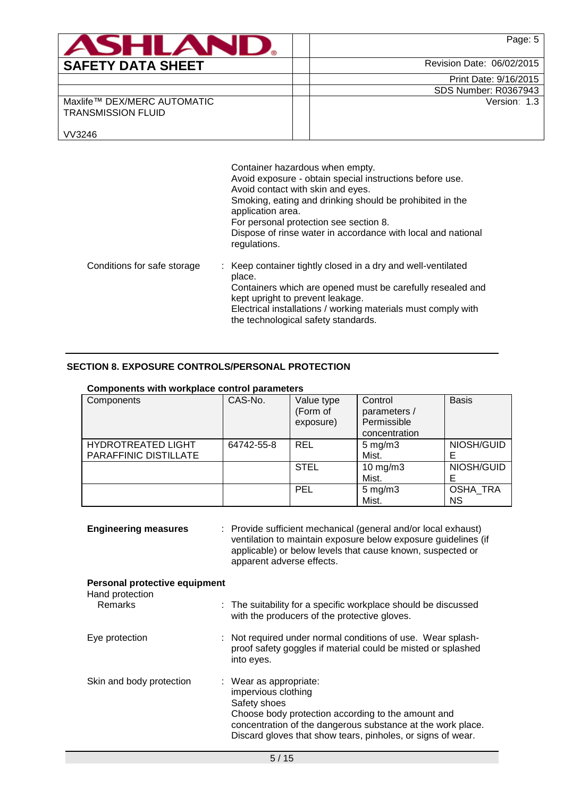| <b>ASHLAND.</b>                                                    | Page: 5                     |
|--------------------------------------------------------------------|-----------------------------|
| <b>SAFETY DATA SHEET</b>                                           | Revision Date: 06/02/2015   |
|                                                                    | Print Date: 9/16/2015       |
|                                                                    | <b>SDS Number: R0367943</b> |
| Maxlife™ DEX/MERC AUTOMATIC<br><b>TRANSMISSION FLUID</b><br>VV3246 | Version: 1.3                |

|                             | Container hazardous when empty.<br>Avoid exposure - obtain special instructions before use.<br>Avoid contact with skin and eyes.<br>Smoking, eating and drinking should be prohibited in the<br>application area.<br>For personal protection see section 8.<br>Dispose of rinse water in accordance with local and national<br>regulations. |
|-----------------------------|---------------------------------------------------------------------------------------------------------------------------------------------------------------------------------------------------------------------------------------------------------------------------------------------------------------------------------------------|
| Conditions for safe storage | : Keep container tightly closed in a dry and well-ventilated<br>place.<br>Containers which are opened must be carefully resealed and<br>kept upright to prevent leakage.<br>Electrical installations / working materials must comply with<br>the technological safety standards.                                                            |

## **SECTION 8. EXPOSURE CONTROLS/PERSONAL PROTECTION**

| <b>Components with workplace control parameters</b> |            |                                     |                                                         |                       |
|-----------------------------------------------------|------------|-------------------------------------|---------------------------------------------------------|-----------------------|
| Components                                          | CAS-No.    | Value type<br>(Form of<br>exposure) | Control<br>parameters /<br>Permissible<br>concentration | <b>Basis</b>          |
| <b>HYDROTREATED LIGHT</b><br>PARAFFINIC DISTILLATE  | 64742-55-8 | <b>REL</b>                          | $5 \text{ mg/m}$ 3<br>Mist.                             | NIOSH/GUID            |
|                                                     |            | <b>STEL</b>                         | $10$ mg/m $3$<br>Mist.                                  | NIOSH/GUID            |
|                                                     |            | <b>PEL</b>                          | $5 \text{ mg/m}$<br>Mist.                               | <b>OSHA TRA</b><br>ΝS |

| <b>Engineering measures</b>                      | : Provide sufficient mechanical (general and/or local exhaust)<br>ventilation to maintain exposure below exposure guidelines (if<br>applicable) or below levels that cause known, suspected or<br>apparent adverse effects.                                  |
|--------------------------------------------------|--------------------------------------------------------------------------------------------------------------------------------------------------------------------------------------------------------------------------------------------------------------|
| Personal protective equipment<br>Hand protection |                                                                                                                                                                                                                                                              |
| Remarks                                          | : The suitability for a specific workplace should be discussed<br>with the producers of the protective gloves.                                                                                                                                               |
| Eye protection                                   | : Not required under normal conditions of use. Wear splash-<br>proof safety goggles if material could be misted or splashed<br>into eyes.                                                                                                                    |
| Skin and body protection                         | $\therefore$ Wear as appropriate:<br>impervious clothing<br>Safety shoes<br>Choose body protection according to the amount and<br>concentration of the dangerous substance at the work place.<br>Discard gloves that show tears, pinholes, or signs of wear. |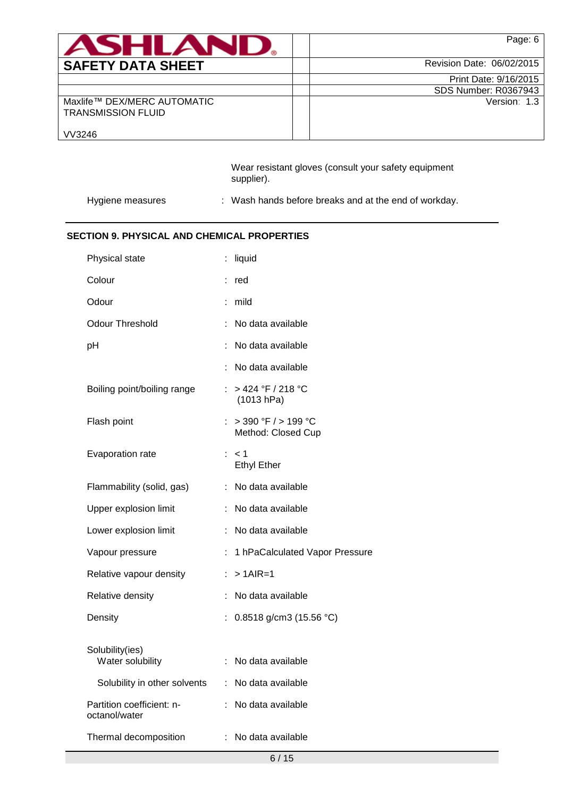| <b>ASHLAND.</b>                                          | Page: 6                     |
|----------------------------------------------------------|-----------------------------|
| <b>SAFETY DATA SHEET</b>                                 | Revision Date: 06/02/2015   |
|                                                          | Print Date: 9/16/2015       |
|                                                          | <b>SDS Number: R0367943</b> |
| Maxlife™ DEX/MERC AUTOMATIC<br><b>TRANSMISSION FLUID</b> | Version: 1.3                |
| VV3246                                                   |                             |

Wear resistant gloves (consult your safety equipment supplier).

Hygiene measures : Wash hands before breaks and at the end of workday.

# **SECTION 9. PHYSICAL AND CHEMICAL PROPERTIES**

| Physical state                             |    | liquid                                        |
|--------------------------------------------|----|-----------------------------------------------|
| Colour                                     | ÷  | red                                           |
| Odour                                      |    | mild                                          |
| Odour Threshold                            |    | No data available                             |
| рH                                         |    | No data available                             |
|                                            |    | No data available                             |
| Boiling point/boiling range                |    | : > 424 °F / 218 °C<br>(1013 hPa)             |
| Flash point                                | t. | $>$ 390 °F $/$ > 199 °C<br>Method: Closed Cup |
| Evaporation rate                           |    | : < 1<br><b>Ethyl Ether</b>                   |
| Flammability (solid, gas)                  |    | : No data available                           |
| Upper explosion limit                      | ÷. | No data available                             |
| Lower explosion limit                      | ÷  | No data available                             |
| Vapour pressure                            | ÷  | 1 hPaCalculated Vapor Pressure                |
| Relative vapour density                    |    | $> 1$ AIR=1                                   |
| Relative density                           |    | No data available                             |
| Density                                    |    | 0.8518 g/cm3 (15.56 °C)                       |
| Solubility(ies)<br>Water solubility        |    | No data available                             |
| Solubility in other solvents               | ÷  | No data available                             |
| Partition coefficient: n-<br>octanol/water | ÷. | No data available                             |
| Thermal decomposition                      |    | : No data available                           |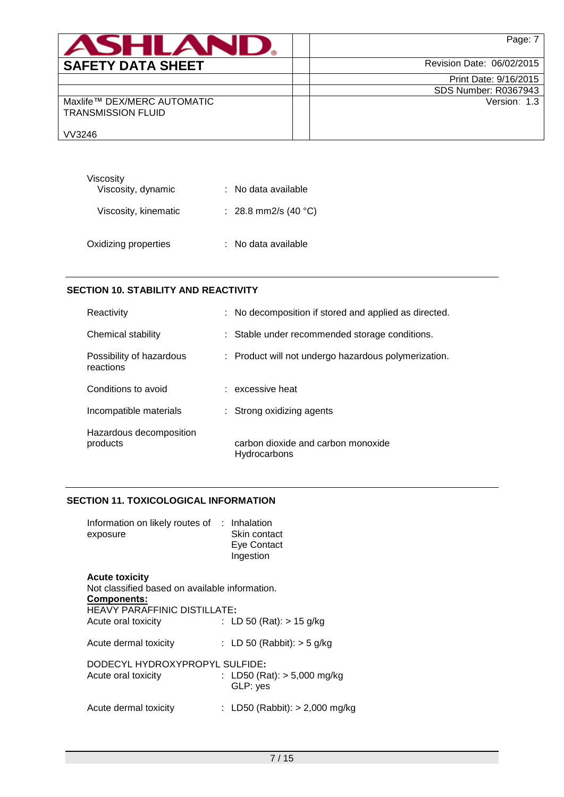| <b>ASHLAN</b>                                            | Page: 7                     |
|----------------------------------------------------------|-----------------------------|
| <b>SAFETY DATA SHEET</b>                                 | Revision Date: 06/02/2015   |
|                                                          | Print Date: 9/16/2015       |
|                                                          | <b>SDS Number: R0367943</b> |
| Maxlife™ DEX/MERC AUTOMATIC<br><b>TRANSMISSION FLUID</b> | Version: 1.3                |
| VV3246                                                   |                             |

| Viscosity            |                      |
|----------------------|----------------------|
| Viscosity, dynamic   | : No data available  |
| Viscosity, kinematic | : 28.8 mm2/s (40 °C) |
| Oxidizing properties | : No data available  |

## **SECTION 10. STABILITY AND REACTIVITY**

| Reactivity                            | : No decomposition if stored and applied as directed. |
|---------------------------------------|-------------------------------------------------------|
| Chemical stability                    | : Stable under recommended storage conditions.        |
| Possibility of hazardous<br>reactions | : Product will not undergo hazardous polymerization.  |
| Conditions to avoid                   | $:$ excessive heat                                    |
| Incompatible materials                | : Strong oxidizing agents                             |
| Hazardous decomposition<br>products   | carbon dioxide and carbon monoxide<br>Hydrocarbons    |

# **SECTION 11. TOXICOLOGICAL INFORMATION**

| Information on likely routes of : Inhalation<br>exposure                               | Skin contact<br>Eye Contact<br>Ingestion |
|----------------------------------------------------------------------------------------|------------------------------------------|
| <b>Acute toxicity</b><br>Not classified based on available information.<br>Components: |                                          |
| <b>HEAVY PARAFFINIC DISTILLATE:</b>                                                    |                                          |
| Acute oral toxicity                                                                    | : LD 50 (Rat): $> 15$ g/kg               |
| Acute dermal toxicity                                                                  | : LD 50 (Rabbit): $>$ 5 g/kg             |

| DODECYL HYDROXYPROPYL SULFIDE: | : LD50 (Rat): $> 5,000$ mg/kg    |
|--------------------------------|----------------------------------|
| Acute oral toxicity            | GLP: yes                         |
| Acute dermal toxicity          | : LD50 (Rabbit): $> 2,000$ mg/kg |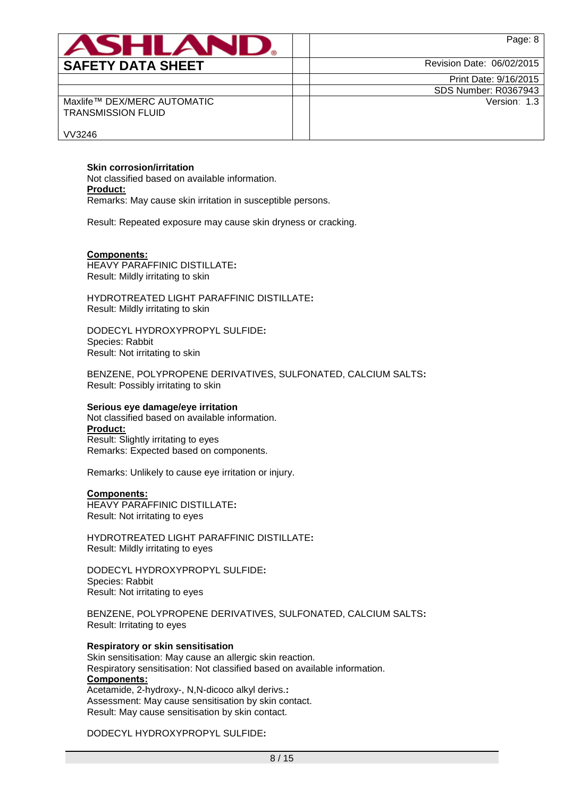| ASHLAN                                                   | Page: 8                     |
|----------------------------------------------------------|-----------------------------|
| <b>SAFETY DATA SHEET</b>                                 | Revision Date: 06/02/2015   |
|                                                          | Print Date: 9/16/2015       |
|                                                          | <b>SDS Number: R0367943</b> |
| Maxlife™ DEX/MERC AUTOMATIC<br><b>TRANSMISSION FLUID</b> | Version: 1.3                |
| VV3246                                                   |                             |

**Skin corrosion/irritation**

Not classified based on available information. **Product:** Remarks: May cause skin irritation in susceptible persons.

Result: Repeated exposure may cause skin dryness or cracking.

#### **Components:**

HEAVY PARAFFINIC DISTILLATE**:** Result: Mildly irritating to skin

HYDROTREATED LIGHT PARAFFINIC DISTILLATE**:** Result: Mildly irritating to skin

DODECYL HYDROXYPROPYL SULFIDE**:** Species: Rabbit Result: Not irritating to skin

BENZENE, POLYPROPENE DERIVATIVES, SULFONATED, CALCIUM SALTS**:** Result: Possibly irritating to skin

#### **Serious eye damage/eye irritation**

Not classified based on available information. **Product:** Result: Slightly irritating to eyes Remarks: Expected based on components.

Remarks: Unlikely to cause eye irritation or injury.

#### **Components:**

HEAVY PARAFFINIC DISTILLATE**:** Result: Not irritating to eyes

HYDROTREATED LIGHT PARAFFINIC DISTILLATE**:** Result: Mildly irritating to eyes

DODECYL HYDROXYPROPYL SULFIDE**:** Species: Rabbit Result: Not irritating to eyes

BENZENE, POLYPROPENE DERIVATIVES, SULFONATED, CALCIUM SALTS**:** Result: Irritating to eyes

#### **Respiratory or skin sensitisation**

Skin sensitisation: May cause an allergic skin reaction. Respiratory sensitisation: Not classified based on available information. **Components:** Acetamide, 2-hydroxy-, N,N-dicoco alkyl derivs.**:** Assessment: May cause sensitisation by skin contact. Result: May cause sensitisation by skin contact.

# DODECYL HYDROXYPROPYL SULFIDE**:**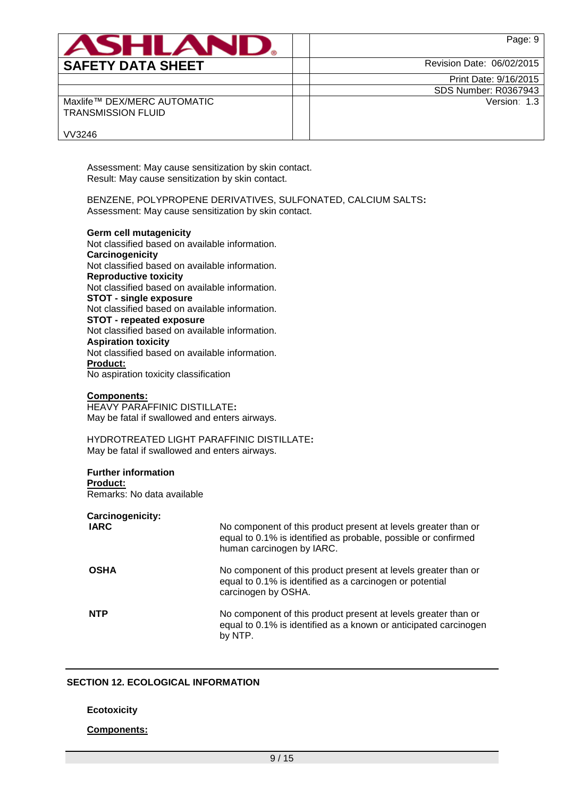| <b>SAI</b><br>ETY DATA SHEET |  |
|------------------------------|--|

Page: 9

Revision Date: 06/02/2015

Print Date: 9/16/2015 SDS Number: R0367943

Version: 1.3

Maxlife™ DEX/MERC AUTOMATIC TRANSMISSION FLUID

VV3246

Assessment: May cause sensitization by skin contact. Result: May cause sensitization by skin contact.

BENZENE, POLYPROPENE DERIVATIVES, SULFONATED, CALCIUM SALTS**:** Assessment: May cause sensitization by skin contact.

**Germ cell mutagenicity** Not classified based on available information. **Carcinogenicity** Not classified based on available information. **Reproductive toxicity** Not classified based on available information. **STOT - single exposure** Not classified based on available information. **STOT - repeated exposure** Not classified based on available information. **Aspiration toxicity** Not classified based on available information. **Product:** No aspiration toxicity classification

#### **Components:**

HEAVY PARAFFINIC DISTILLATE**:** May be fatal if swallowed and enters airways.

HYDROTREATED LIGHT PARAFFINIC DISTILLATE**:** May be fatal if swallowed and enters airways.

#### **Further information**

**Product:** Remarks: No data available

**Carcinogenicity:**

| <b>IARC</b> | No component of this product present at levels greater than or<br>equal to 0.1% is identified as probable, possible or confirmed<br>human carcinogen by IARC. |
|-------------|---------------------------------------------------------------------------------------------------------------------------------------------------------------|
| <b>OSHA</b> | No component of this product present at levels greater than or<br>equal to 0.1% is identified as a carcinogen or potential<br>carcinogen by OSHA.             |
| <b>NTP</b>  | No component of this product present at levels greater than or<br>equal to 0.1% is identified as a known or anticipated carcinogen<br>by NTP.                 |

### **SECTION 12. ECOLOGICAL INFORMATION**

### **Ecotoxicity**

### **Components:**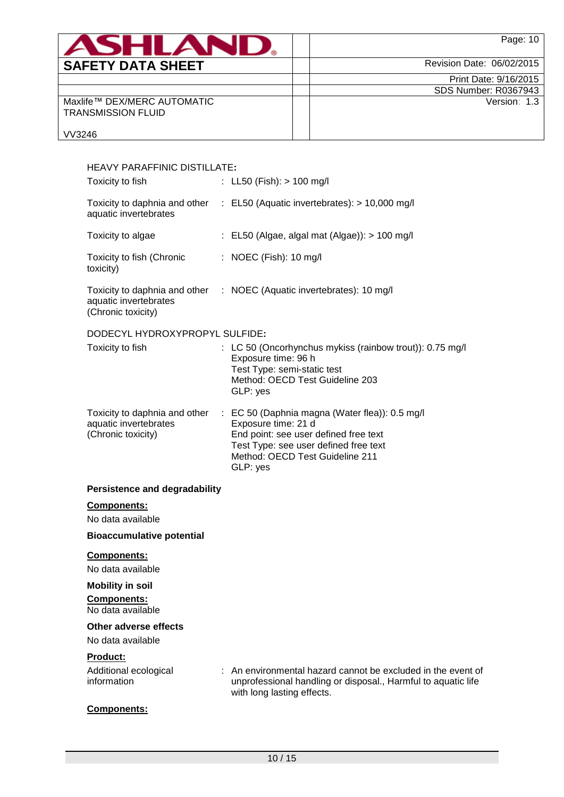| ASHLAN                                                   | Page: 10                    |
|----------------------------------------------------------|-----------------------------|
| <b>SAFETY DATA SHEET</b>                                 | Revision Date: 06/02/2015   |
|                                                          | Print Date: 9/16/2015       |
|                                                          | <b>SDS Number: R0367943</b> |
| Maxlife™ DEX/MERC AUTOMATIC<br><b>TRANSMISSION FLUID</b> | Version: 1.3                |

VV3246

| <b>HEAVY PARAFFINIC DISTILLATE:</b>                                          |                                                                                                                                                                                                        |
|------------------------------------------------------------------------------|--------------------------------------------------------------------------------------------------------------------------------------------------------------------------------------------------------|
| Toxicity to fish                                                             | : LL50 (Fish): $> 100$ mg/l                                                                                                                                                                            |
| aquatic invertebrates                                                        | Toxicity to daphnia and other : EL50 (Aquatic invertebrates): > 10,000 mg/l                                                                                                                            |
| Toxicity to algae                                                            | : EL50 (Algae, algal mat (Algae)): $> 100$ mg/l                                                                                                                                                        |
| Toxicity to fish (Chronic<br>toxicity)                                       | : NOEC (Fish): 10 mg/l                                                                                                                                                                                 |
| aquatic invertebrates<br>(Chronic toxicity)                                  | Toxicity to daphnia and other : NOEC (Aquatic invertebrates): 10 mg/l                                                                                                                                  |
| DODECYL HYDROXYPROPYL SULFIDE:                                               |                                                                                                                                                                                                        |
| Toxicity to fish                                                             | : LC 50 (Oncorhynchus mykiss (rainbow trout)): 0.75 mg/l<br>Exposure time: 96 h<br>Test Type: semi-static test<br>Method: OECD Test Guideline 203<br>GLP: yes                                          |
| Toxicity to daphnia and other<br>aquatic invertebrates<br>(Chronic toxicity) | : EC 50 (Daphnia magna (Water flea)): 0.5 mg/l<br>Exposure time: 21 d<br>End point: see user defined free text<br>Test Type: see user defined free text<br>Method: OECD Test Guideline 211<br>GLP: yes |
| <b>Persistence and degradability</b>                                         |                                                                                                                                                                                                        |
| <b>Components:</b>                                                           |                                                                                                                                                                                                        |
| No data available                                                            |                                                                                                                                                                                                        |
| <b>Bioaccumulative potential</b>                                             |                                                                                                                                                                                                        |
| Components:<br>No data available                                             |                                                                                                                                                                                                        |
| <b>Mobility in soil</b>                                                      |                                                                                                                                                                                                        |
| Components:<br>No data available                                             |                                                                                                                                                                                                        |
| Other adverse effects                                                        |                                                                                                                                                                                                        |
| No data available                                                            |                                                                                                                                                                                                        |
| <b>Product:</b><br>Additional ecological<br>information                      | : An environmental hazard cannot be excluded in the event of<br>unprofessional handling or disposal., Harmful to aquatic life<br>with long lasting effects.                                            |
| <b>Components:</b>                                                           |                                                                                                                                                                                                        |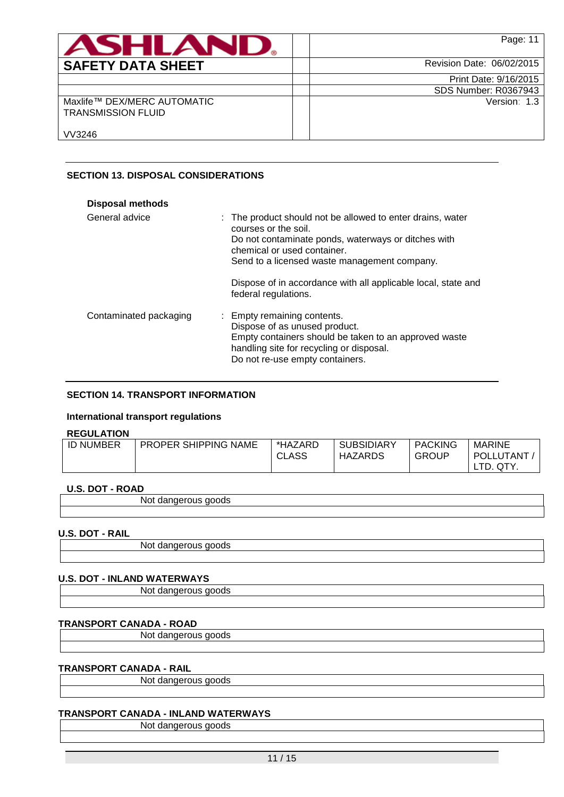| <b>ASHLAND.</b>                                          | Page: 11                  |
|----------------------------------------------------------|---------------------------|
| <b>SAFETY DATA SHEET</b>                                 | Revision Date: 06/02/2015 |
|                                                          | Print Date: 9/16/2015     |
|                                                          | SDS Number: R0367943      |
| Maxlife™ DEX/MERC AUTOMATIC<br><b>TRANSMISSION FLUID</b> | Version: 1.3              |
| VV3246                                                   |                           |

## **SECTION 13. DISPOSAL CONSIDERATIONS**

| <b>Disposal methods</b> |                                                                                                                                                                                                                                                                                                                   |
|-------------------------|-------------------------------------------------------------------------------------------------------------------------------------------------------------------------------------------------------------------------------------------------------------------------------------------------------------------|
| General advice          | : The product should not be allowed to enter drains, water<br>courses or the soil.<br>Do not contaminate ponds, waterways or ditches with<br>chemical or used container.<br>Send to a licensed waste management company.<br>Dispose of in accordance with all applicable local, state and<br>federal regulations. |
| Contaminated packaging  | : Empty remaining contents.<br>Dispose of as unused product.<br>Empty containers should be taken to an approved waste<br>handling site for recycling or disposal.<br>Do not re-use empty containers.                                                                                                              |

# **SECTION 14. TRANSPORT INFORMATION**

#### **International transport regulations**

## **REGULATION**

| .                |                             |                         |                              |                                |                     |
|------------------|-----------------------------|-------------------------|------------------------------|--------------------------------|---------------------|
| <b>ID NUMBER</b> | <b>PROPER SHIPPING NAME</b> | *HAZARD<br><b>CLASS</b> | <b>SUBSIDIARY</b><br>HAZARDS | <b>PACKING</b><br><b>GROUP</b> | MARINE<br>POLLUTANT |
|                  |                             |                         |                              |                                | QTY.                |

# **U.S. DOT - ROAD**

| $         -$ |             |  |
|--------------|-------------|--|
|              | 'NG.<br>. . |  |
|              |             |  |

### **U.S. DOT - RAIL**

Not dangerous goods

# **U.S. DOT - INLAND WATERWAYS**

Not dangerous goods

# **TRANSPORT CANADA - ROAD**

Not dangerous goods

# **TRANSPORT CANADA - RAIL**

Not dangerous goods

# **TRANSPORT CANADA - INLAND WATERWAYS**

Not dangerous goods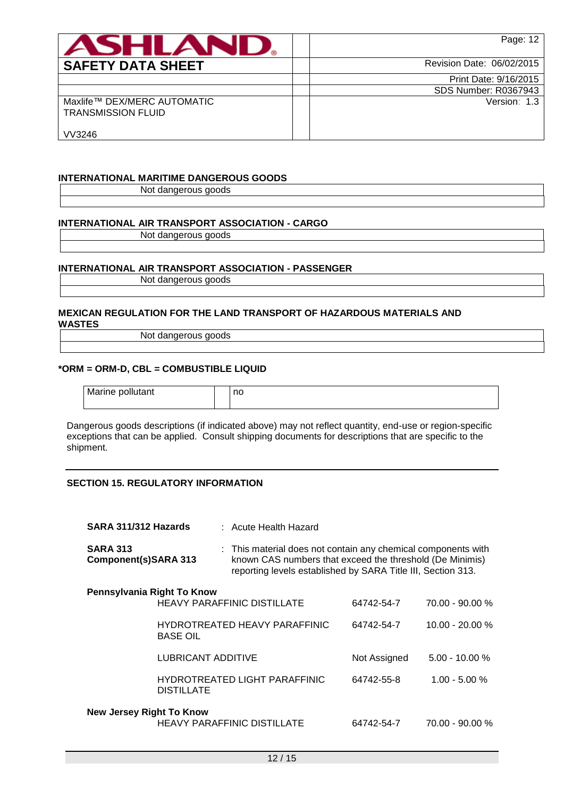| <b>ASHLAN</b>                                            | Page: 12                    |
|----------------------------------------------------------|-----------------------------|
| <b>SAFETY DATA SHEET</b>                                 | Revision Date: 06/02/2015   |
|                                                          | Print Date: 9/16/2015       |
|                                                          | <b>SDS Number: R0367943</b> |
| Maxlife™ DEX/MERC AUTOMATIC<br><b>TRANSMISSION FLUID</b> | Version: 1.3                |
| VV3246                                                   |                             |

### **INTERNATIONAL MARITIME DANGEROUS GOODS**

Not dangerous goods

### **INTERNATIONAL AIR TRANSPORT ASSOCIATION - CARGO**

Not dangerous goods

#### **INTERNATIONAL AIR TRANSPORT ASSOCIATION - PASSENGER**

Not dangerous goods

#### **MEXICAN REGULATION FOR THE LAND TRANSPORT OF HAZARDOUS MATERIALS AND WASTES**

Not dangerous goods

#### **\*ORM = ORM-D, CBL = COMBUSTIBLE LIQUID**

| Marine pollutant | no |
|------------------|----|
|                  |    |

Dangerous goods descriptions (if indicated above) may not reflect quantity, end-use or region-specific exceptions that can be applied. Consult shipping documents for descriptions that are specific to the shipment.

### **SECTION 15. REGULATORY INFORMATION**

| SARA 311/312 Hazards                           |                                                  | : Acute Health Hazard                                                                                                                                                                     |              |                   |
|------------------------------------------------|--------------------------------------------------|-------------------------------------------------------------------------------------------------------------------------------------------------------------------------------------------|--------------|-------------------|
| <b>SARA 313</b><br><b>Component(s)SARA 313</b> |                                                  | : This material does not contain any chemical components with<br>known CAS numbers that exceed the threshold (De Minimis)<br>reporting levels established by SARA Title III, Section 313. |              |                   |
| Pennsylvania Right To Know                     |                                                  |                                                                                                                                                                                           |              |                   |
|                                                | <b>HEAVY PARAFFINIC DISTILLATE</b>               |                                                                                                                                                                                           | 64742-54-7   | $70.00 - 90.00 %$ |
|                                                | HYDROTREATED HEAVY PARAFFINIC<br><b>BASE OIL</b> |                                                                                                                                                                                           | 64742-54-7   | $10.00 - 20.00 %$ |
|                                                | LUBRICANT ADDITIVE                               |                                                                                                                                                                                           | Not Assigned | $5.00 - 10.00 %$  |
|                                                | <b>DISTILLATE</b>                                | <b>HYDROTREATED LIGHT PARAFFINIC</b>                                                                                                                                                      | 64742-55-8   | $1.00 - 5.00 %$   |
| <b>New Jersey Right To Know</b>                |                                                  | <b>HEAVY PARAFFINIC DISTILLATE</b>                                                                                                                                                        | 64742-54-7   | 70.00 - 90.00 %   |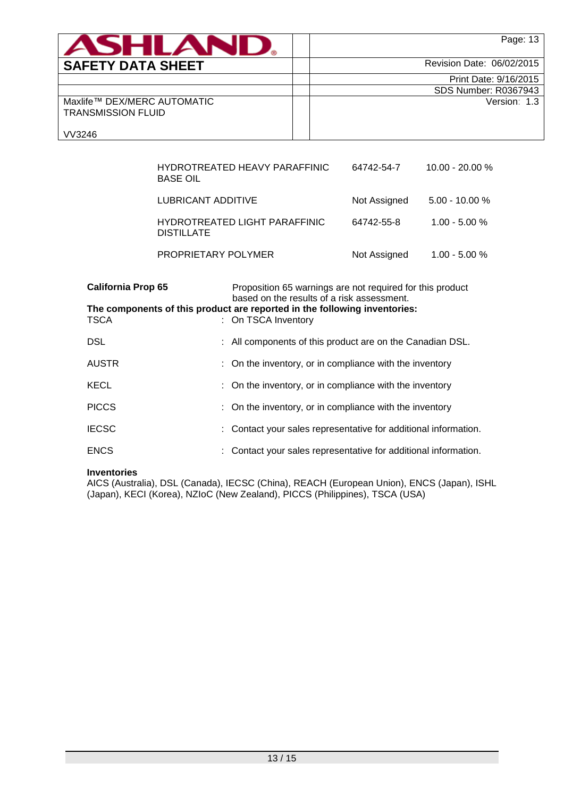| ASHLAND.                                                 | Page: 13                    |
|----------------------------------------------------------|-----------------------------|
| <b>SAFETY DATA SHEET</b>                                 | Revision Date: 06/02/2015   |
|                                                          | Print Date: 9/16/2015       |
|                                                          | <b>SDS Number: R0367943</b> |
| Maxlife™ DEX/MERC AUTOMATIC<br><b>TRANSMISSION FLUID</b> | Version: 1.3                |
| VV3246                                                   |                             |

| HYDROTREATED HEAVY PARAFFINIC<br><b>BASE OIL</b>   | 64742-54-7   | $10.00 - 20.00 %$ |
|----------------------------------------------------|--------------|-------------------|
| LUBRICANT ADDITIVE                                 | Not Assigned | $5.00 - 10.00 %$  |
| HYDROTREATED LIGHT PARAFFINIC<br><b>DISTILLATE</b> | 64742-55-8   | $1.00 - 5.00 %$   |
| PROPRIETARY POLYMER                                | Not Assigned | $1.00 - 5.00 %$   |

| <b>California Prop 65</b> | Proposition 65 warnings are not required for this product<br>based on the results of a risk assessment. |
|---------------------------|---------------------------------------------------------------------------------------------------------|
| <b>TSCA</b>               | The components of this product are reported in the following inventories:<br>: On TSCA Inventory        |
| <b>DSL</b>                | : All components of this product are on the Canadian DSL.                                               |
| <b>AUSTR</b>              | : On the inventory, or in compliance with the inventory                                                 |
| <b>KECL</b>               | : On the inventory, or in compliance with the inventory                                                 |
| <b>PICCS</b>              | : On the inventory, or in compliance with the inventory                                                 |
| <b>IECSC</b>              | : Contact your sales representative for additional information.                                         |
| <b>ENCS</b>               | : Contact your sales representative for additional information.                                         |

## **Inventories**

AICS (Australia), DSL (Canada), IECSC (China), REACH (European Union), ENCS (Japan), ISHL (Japan), KECI (Korea), NZIoC (New Zealand), PICCS (Philippines), TSCA (USA)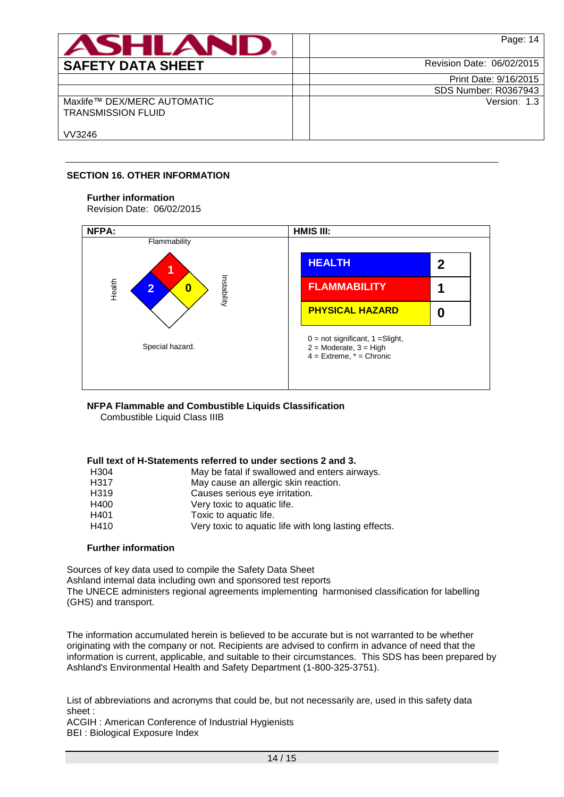| <b>ASHLAND.</b>                                          | Page: 14                    |
|----------------------------------------------------------|-----------------------------|
| <b>SAFETY DATA SHEET</b>                                 | Revision Date: 06/02/2015   |
|                                                          | Print Date: 9/16/2015       |
|                                                          | <b>SDS Number: R0367943</b> |
| Maxlife™ DEX/MERC AUTOMATIC<br><b>TRANSMISSION FLUID</b> | Version: 1.3                |
| VV3246                                                   |                             |

## **SECTION 16. OTHER INFORMATION**

## **Further information**

Revision Date: 06/02/2015



# **NFPA Flammable and Combustible Liquids Classification**

Combustible Liquid Class IIIB

# **Full text of H-Statements referred to under sections 2 and 3.**

| H <sub>304</sub> | May be fatal if swallowed and enters airways.         |
|------------------|-------------------------------------------------------|
| H317             | May cause an allergic skin reaction.                  |
| H <sub>319</sub> | Causes serious eye irritation.                        |
| H400             | Very toxic to aquatic life.                           |
| H401             | Toxic to aquatic life.                                |
| H410             | Very toxic to aquatic life with long lasting effects. |

# **Further information**

Sources of key data used to compile the Safety Data Sheet Ashland internal data including own and sponsored test reports The UNECE administers regional agreements implementing harmonised classification for labelling (GHS) and transport.

The information accumulated herein is believed to be accurate but is not warranted to be whether originating with the company or not. Recipients are advised to confirm in advance of need that the information is current, applicable, and suitable to their circumstances. This SDS has been prepared by Ashland's Environmental Health and Safety Department (1-800-325-3751).

List of abbreviations and acronyms that could be, but not necessarily are, used in this safety data sheet :

ACGIH : American Conference of Industrial Hygienists BEI : Biological Exposure Index